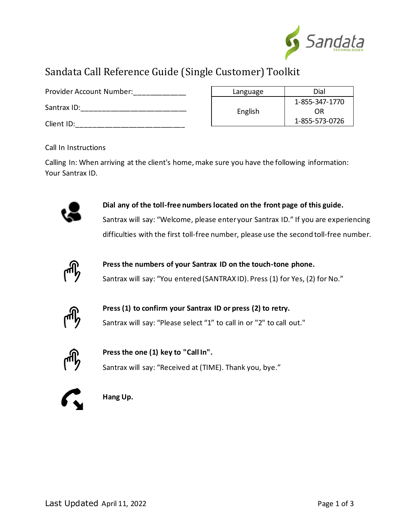

## Sandata Call Reference Guide (Single Customer) Toolkit

| Provider Account Number: | Language | Dial                 |
|--------------------------|----------|----------------------|
| Santrax ID:              | English  | 1-855-347-1770<br>ΟR |
| Client ID:               |          | 1-855-573-0726       |

Call In Instructions

Calling In: When arriving at the client's home, make sure you have the following information: Your Santrax ID.



**1. Dial any of the toll-free numbers located on the front page of this guide.** Santrax will say: "Welcome, please enter your Santrax ID." If you are experiencing difficulties with the first toll-free number, please use the second toll-free number.



**2. Press the numbers of your Santrax ID on the touch-tone phone.** Santrax will say: "You entered (SANTRAX ID). Press (1) for Yes, (2) for No."



**3. Press (1) to confirm your Santrax ID or press (2) to retry.** Santrax will say: "Please select "1" to call in or "2" to call out."



**4. Press the one (1) key to "Call In".** Santrax will say: "Received at (TIME). Thank you, bye."



**5. Hang Up.**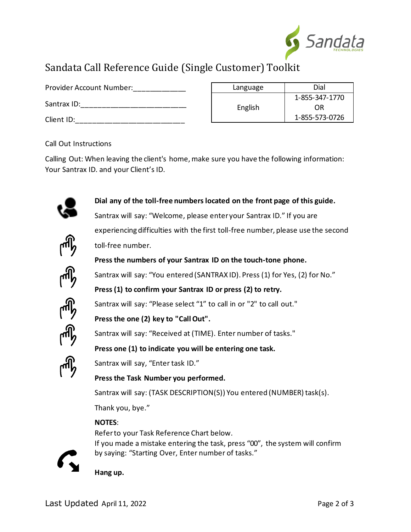

# Sandata Call Reference Guide (Single Customer) Toolkit

| Provider Account Number: | Language | Dial           |
|--------------------------|----------|----------------|
|                          |          | 1-855-347-1770 |
| Santrax ID:              | English  | OR             |
| Client ID:               |          | 1-855-573-0726 |

Call Out Instructions

Calling Out: When leaving the client's home, make sure you have the following information: Your Santrax ID. and your Client's ID.



**1. Dial any of the toll-free numbers located on the front page of this guide.**

Santrax will say: "Welcome, please enter your Santrax ID." If you are experiencing difficulties with the first toll-free number, please use the second toll-free number.



**2. Press the numbers of your Santrax ID on the touch-tone phone.**

Santrax will say: "You entered (SANTRAX ID). Press (1) for Yes, (2) for No."

**3. Press (1) to confirm your Santrax ID or press (2) to retry.**

Santrax will say: "Please select "1" to call in or "2" to call out."



Santrax will say: "Received at (TIME). Enter number of tasks."

**5. Press one (1) to indicate you will be entering one task.**



Santrax will say, "Enter task ID."

**4. Press the one (2) key to "Call Out".**

**6. Press the Task Number you performed.**

Santrax will say: (TASK DESCRIPTION(S)) You entered (NUMBER) task(s).

Thank you, bye."

## **NOTES**:

Referto your Task Reference Chart below.



If you made a mistake entering the task, press "00", the system will confirm by saying: "Starting Over, Enter number of tasks."

**7. Hang up.**